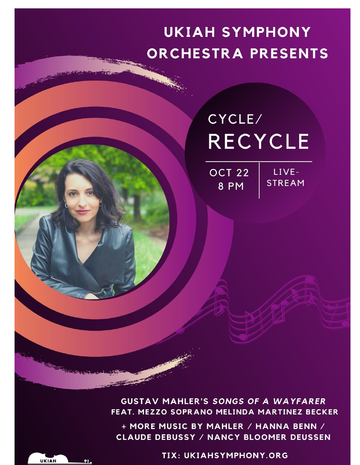## **UKIAH SYMPHONY ORCHESTRA PRESENTS**

## CYCLE/ **RECYCLE**

**OCT 22** 8 PM

LIVE-**STREAM** 

**GUSTAV MAHLER'S SONGS OF A WAYFARER** FEAT. MEZZO SOPRANO MELINDA MARTINEZ BECKER

+ MORE MUSIC BY MAHLER / HANNA BENN / **CLAUDE DEBUSSY / NANCY BLOOMER DEUSSEN** 

TIX: UKIAHSYMPHONY.ORG

**UKIAH**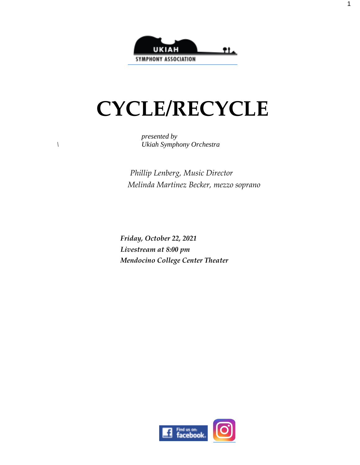

# **CYCLE/RECYCLE**

*presented by \ Ukiah Symphony Orchestra*

> *Phillip Lenberg, Music Director Melinda Martinez Becker, mezzo soprano*

*Friday, October 22, 2021 Livestream at 8:00 pm Mendocino College Center Theater*

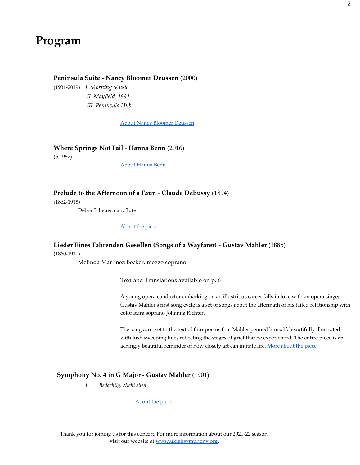### **Program**

#### **Peninsula Suite - Nancy Bloomer Deussen** (2000)

(1931-2019) *I. Morning Music II. Mayfield, 1894 III. Peninsula Hub*

[About Nancy Bloomer Deussen](http://www.compositiontoday.com/blog/684.asp)

**Where Springs Not Fail** - **Hanna Benn** (2016)

(b.1987)

[About Hanna Benn](https://www.hannabenn.com/music)

**Prelude to the Afternoon of a Faun** - **Claude Debussy** (1894)

(1862-1918)

Debra Scheuerman, flute

#### [About the piece](http://sllmf.org/archive/notes_for_512.html)

#### **Lieder Eines Fahrenden Gesellen (Songs of a Wayfarer)** - **Gustav Mahler** (1885) (1860-1911)

Melinda Martinez Becker, mezzo soprano

Text and Translations available on p. 6

A young opera conductor embarking on an illustrious career falls in love with an opera singer. Gustav Mahler's first song cycle is a set of songs about the aftermath of his failed relationship with coloratura soprano Johanna Richter.

The songs are set to the text of four poems that Mahler penned himself, beautifully illustrated with lush sweeping lines reflecting the stages of grief that he experienced. The entire piece is an achingly beautiful reminder of how closely art can imitate life[. More about the piece](http://sllmf.org/archive/notes_for_535.html)

#### **Symphony No. 4 in G Major - Gustav Mahler** (1901)

*I. Bedachtig. Nicht eilen*

[About the piece](http://sllmf.org/archive/notes_for_513.html)

Thank you for joining us for this concert. For more information about our 2021-22 season, visit our website a[t www.ukiahsymphony.org.](http://www.ukiahsymphony.org/)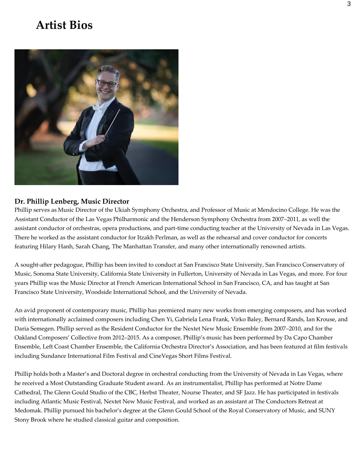### **Artist Bios**



#### **Dr. Phillip Lenberg, Music Director**

Phillip serves as Music Director of the Ukiah Symphony Orchestra, and Professor of Music at Mendocino College. He was the Assistant Conductor of the Las Vegas Philharmonic and the Henderson Symphony Orchestra from 2007–2011, as well the assistant conductor of orchestras, opera productions, and part-time conducting teacher at the University of Nevada in Las Vegas. There he worked as the assistant conductor for Itzakh Perlman, as well as the rehearsal and cover conductor for concerts featuring Hilary Hanh, Sarah Chang, The Manhattan Transfer, and many other internationally renowned artists.

A sought-after pedagogue, Phillip has been invited to conduct at San Francisco State University, San Francisco Conservatory of Music, Sonoma State University, California State University in Fullerton, University of Nevada in Las Vegas, and more. For four years Phillip was the Music Director at French American International School in San Francisco, CA, and has taught at San Francisco State University, Woodside International School, and the University of Nevada.

An avid proponent of contemporary music, Phillip has premiered many new works from emerging composers, and has worked with internationally acclaimed composers including Chen Yi, Gabriela Lena Frank, Virko Baley, Bernard Rands, Ian Krouse, and Daria Semegen. Phillip served as the Resident Conductor for the Nextet New Music Ensemble from 2007–2010, and for the Oakland Composers' Collective from 2012–2015. As a composer, Phillip's music has been performed by Da Capo Chamber Ensemble, Left Coast Chamber Ensemble, the California Orchestra Director's Association, and has been featured at film festivals including Sundance International Film Festival and CineVegas Short Films Festival.

Phillip holds both a Master's and Doctoral degree in orchestral conducting from the University of Nevada in Las Vegas, where he received a Most Outstanding Graduate Student award. As an instrumentalist, Phillip has performed at Notre Dame Cathedral, The Glenn Gould Studio of the CBC, Herbst Theater, Nourse Theater, and SF Jazz. He has participated in festivals including Atlantic Music Festival, Nextet New Music Festival, and worked as an assistant at The Conductors Retreat at Medomak. Phillip pursued his bachelor's degree at the Glenn Gould School of the Royal Conservatory of Music, and SUNY Stony Brook where he studied classical guitar and composition.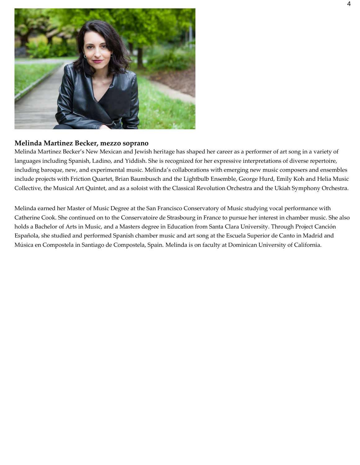

#### **Melinda Martinez Becker, mezzo soprano**

Melinda Martinez Becker's New Mexican and Jewish heritage has shaped her career as a performer of art song in a variety of languages including Spanish, Ladino, and Yiddish. She is recognized for her expressive interpretations of diverse repertoire, including baroque, new, and experimental music. Melinda's collaborations with emerging new music composers and ensembles include projects with Friction Quartet, Brian Baumbusch and the Lightbulb Ensemble, George Hurd, Emily Koh and Helia Music Collective, the Musical Art Quintet, and as a soloist with the Classical Revolution Orchestra and the Ukiah Symphony Orchestra.

Melinda earned her Master of Music Degree at the San Francisco Conservatory of Music studying vocal performance with Catherine Cook. She continued on to the Conservatoire de Strasbourg in France to pursue her interest in chamber music. She also holds a Bachelor of Arts in Music, and a Masters degree in Education from Santa Clara University. Through Project Canción Española, she studied and performed Spanish chamber music and art song at the Escuela Superior de Canto in Madrid and Música en Compostela in Santiago de Compostela, Spain. Melinda is on faculty at Dominican University of California.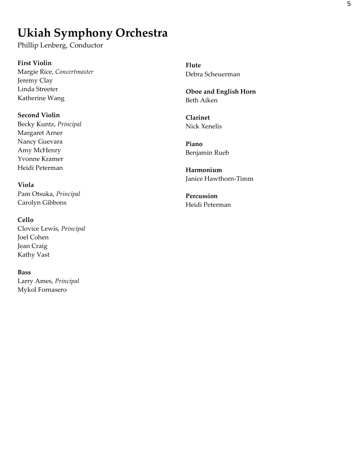## **Ukiah Symphony Orchestra**

Phillip Lenberg, Conductor

**First Violin**  Margie Rice, *Concertmaster*  Jeremy Clay Linda Streeter Katherine Wang

**Second Violin**  Becky Kuntz, *Principal*  Margaret Arner Nancy Guevara Amy McHenry Yvonne Kramer Heidi Peterman

**Viola**  Pam Otsuka, *Principal*  Carolyn Gibbons

**Cello**  Clovice Lewis, *Principal*  Joel Cohen Jean Craig Kathy Vast

#### **Bass**

Larry Ames, *Principal*  Mykol Fornasero

**Flute**  Debra Scheuerman

**Oboe and English Horn**  Beth Aiken

**Clarinet**  Nick Xenelis

**Piano**  Benjamin Rueb

**Harmonium**  Janice Hawthorn-Timm

**Percussion**  Heidi Peterman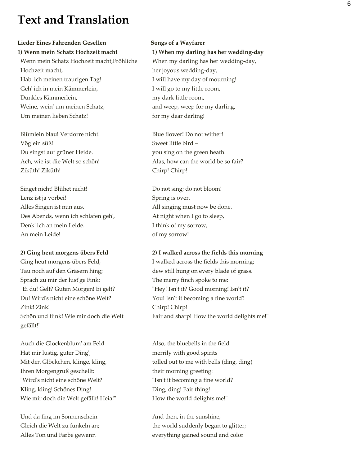## **Text and Translation**

#### **Lieder Eines Fahrenden Gesellen**

**1) Wenn mein Schatz Hochzeit macht** Wenn mein Schatz Hochzeit macht,Fröhliche Hochzeit macht, Hab' ich meinen traurigen Tag! Geh' ich in mein Kämmerlein, Dunkles Kämmerlein, Weine, wein' um meinen Schatz, Um meinen lieben Schatz!

Blümlein blau! Verdorre nicht! Vöglein süß! Du singst auf grüner Heide. Ach, wie ist die Welt so schön! Ziküth! Ziküth!

Singet nicht! Blühet nicht! Lenz ist ja vorbei! Alles Singen ist nun aus. Des Abends, wenn ich schlafen geh', Denk' ich an mein Leide. An mein Leide!

#### **2) Ging heut morgens übers Feld**

Ging heut morgens übers Feld, Tau noch auf den Gräsern hing; Sprach zu mir der lust'ge Fink: "Ei du! Gelt? Guten Morgen! Ei gelt? Du! Wird's nicht eine schöne Welt? Zink! Zink! Schön und flink! Wie mir doch die Welt gefällt!"

Auch die Glockenblum' am Feld Hat mir lustig, guter Ding', Mit den Glöckchen, klinge, kling, Ihren Morgengruß geschellt: "Wird's nicht eine schöne Welt? Kling, kling! Schönes Ding! Wie mir doch die Welt gefällt! Heia!"

Und da fing im Sonnenschein Gleich die Welt zu funkeln an; Alles Ton und Farbe gewann

#### **Songs of a Wayfarer**

**1) When my darling has her wedding-day** When my darling has her wedding-day, her joyous wedding-day, I will have my day of mourning! I will go to my little room, my dark little room, and weep, weep for my darling, for my dear darling!

Blue flower! Do not wither! Sweet little bird – you sing on the green heath! Alas, how can the world be so fair? Chirp! Chirp!

 Do not sing; do not bloom! Spring is over. All singing must now be done. At night when I go to sleep, I think of my sorrow, of my sorrow!

#### **2) I walked across the fields this morning**

I walked across the fields this morning; dew still hung on every blade of grass. The merry finch spoke to me: "Hey! Isn't it? Good morning! Isn't it? You! Isn't it becoming a fine world? Chirp! Chirp! Fair and sharp! How the world delights me!"

Also, the bluebells in the field merrily with good spirits tolled out to me with bells (ding, ding) their morning greeting: "Isn't it becoming a fine world? Ding, ding! Fair thing! How the world delights me!"

And then, in the sunshine, the world suddenly began to glitter; everything gained sound and color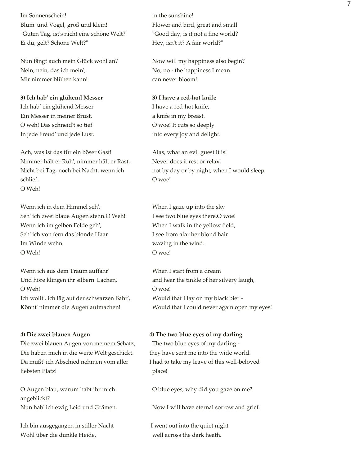Im Sonnenschein! Blum' und Vogel, groß und klein! "Guten Tag, ist's nicht eine schöne Welt? Ei du, gelt? Schöne Welt?"

Nun fängt auch mein Glück wohl an? Nein, nein, das ich mein', Mir nimmer blühen kann!

**3) Ich hab' ein glühend Messer** Ich hab' ein glühend Messer Ein Messer in meiner Brust, O weh! Das schneid't so tief In jede Freud' und jede Lust.

Ach, was ist das für ein böser Gast! Nimmer hält er Ruh', nimmer hält er Rast, Nicht bei Tag, noch bei Nacht, wenn ich schlief. O Weh!

Wenn ich in dem Himmel seh', Seh' ich zwei blaue Augen stehn.O Weh! Wenn ich im gelben Felde geh', Seh' ich von fern das blonde Haar Im Winde wehn. O Weh!

Wenn ich aus dem Traum auffahr' Und höre klingen ihr silbern' Lachen, O Weh! Ich wollt', ich läg auf der schwarzen Bahr', Könnt' nimmer die Augen aufmachen!

#### **4) Die zwei blauen Augen**

Die zwei blauen Augen von meinem Schatz, Die haben mich in die weite Welt geschickt. Da mußt' ich Abschied nehmen vom aller liebsten Platz!

O Augen blau, warum habt ihr mich angeblickt? Nun hab' ich ewig Leid und Grämen.

Ich bin ausgegangen in stiller Nacht Wohl über die dunkle Heide.

in the sunshine! Flower and bird, great and small! "Good day, is it not a fine world? Hey, isn't it? A fair world?"

Now will my happiness also begin? No, no - the happiness I mean can never bloom!

#### **3) I have a red-hot knife**

I have a red-hot knife, a knife in my breast. O woe! It cuts so deeply into every joy and delight.

Alas, what an evil guest it is! Never does it rest or relax, not by day or by night, when I would sleep. O woe!

When I gaze up into the sky I see two blue eyes there.O woe! When I walk in the yellow field, I see from afar her blond hair waving in the wind. O woe!

When I start from a dream and hear the tinkle of her silvery laugh, O woe! Would that I lay on my black bier - Would that I could never again open my eyes!

#### **4) The two blue eyes of my darling**

The two blue eyes of my darling they have sent me into the wide world. I had to take my leave of this well-beloved place!

O blue eyes, why did you gaze on me?

Now I will have eternal sorrow and grief.

I went out into the quiet night well across the dark heath.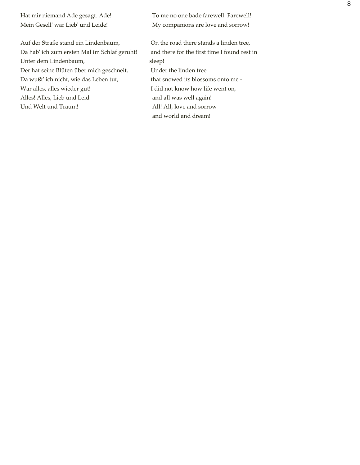Hat mir niemand Ade gesagt. Ade! Mein Gesell' war Lieb' und Leide!

Auf der Straße stand ein Lindenbaum, Da hab' ich zum ersten Mal im Schlaf geruht! Unter dem Lindenbaum, Der hat seine Blüten über mich geschneit, Da wußt' ich nicht, wie das Leben tut, War alles, alles wieder gut! Alles! Alles, Lieb und Leid Und Welt und Traum!

To me no one bade farewell. Farewell! My companions are love and sorrow!

On the road there stands a linden tree, and there for the first time I found rest in sleep! Under the linden tree that snowed its blossoms onto me - I did not know how life went on, and all was well again! All! All, love and sorrow and world and dream!